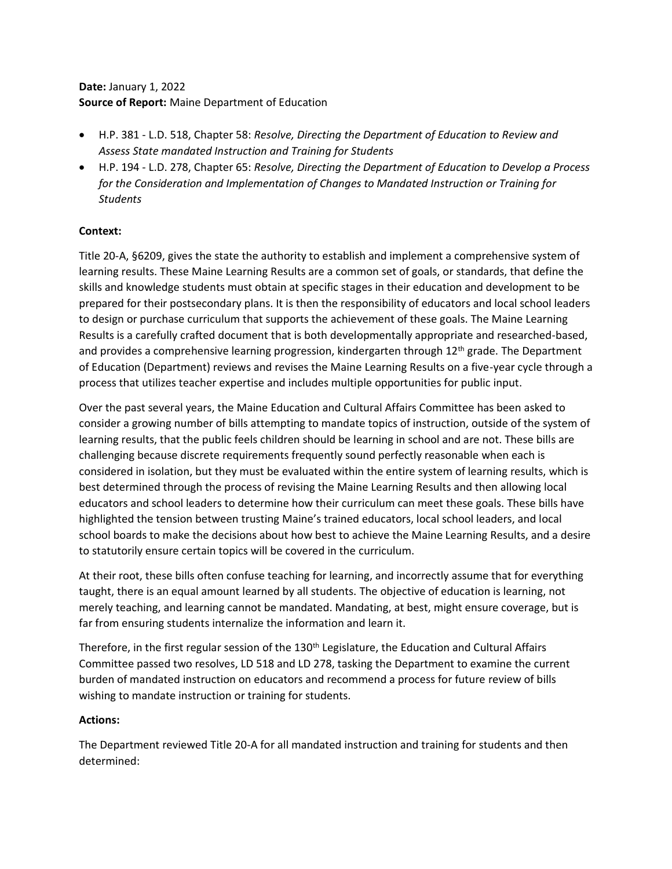## **Date:** January 1, 2022 **Source of Report:** Maine Department of Education

- H.P. 381 L.D. 518, Chapter 58: *Resolve, Directing the Department of Education to Review and Assess State mandated Instruction and Training for Students*
- H.P. 194 L.D. 278, Chapter 65: *Resolve, Directing the Department of Education to Develop a Process for the Consideration and Implementation of Changes to Mandated Instruction or Training for Students*

### **Context:**

Title 20-A, §6209, gives the state the authority to establish and implement a comprehensive system of learning results. These Maine Learning Results are a common set of goals, or standards, that define the skills and knowledge students must obtain at specific stages in their education and development to be prepared for their postsecondary plans. It is then the responsibility of educators and local school leaders to design or purchase curriculum that supports the achievement of these goals. The Maine Learning Results is a carefully crafted document that is both developmentally appropriate and researched-based, and provides a comprehensive learning progression, kindergarten through  $12<sup>th</sup>$  grade. The Department of Education (Department) reviews and revises the Maine Learning Results on a five-year cycle through a process that utilizes teacher expertise and includes multiple opportunities for public input.

Over the past several years, the Maine Education and Cultural Affairs Committee has been asked to consider a growing number of bills attempting to mandate topics of instruction, outside of the system of learning results, that the public feels children should be learning in school and are not. These bills are challenging because discrete requirements frequently sound perfectly reasonable when each is considered in isolation, but they must be evaluated within the entire system of learning results, which is best determined through the process of revising the Maine Learning Results and then allowing local educators and school leaders to determine how their curriculum can meet these goals. These bills have highlighted the tension between trusting Maine's trained educators, local school leaders, and local school boards to make the decisions about how best to achieve the Maine Learning Results, and a desire to statutorily ensure certain topics will be covered in the curriculum.

At their root, these bills often confuse teaching for learning, and incorrectly assume that for everything taught, there is an equal amount learned by all students. The objective of education is learning, not merely teaching, and learning cannot be mandated. Mandating, at best, might ensure coverage, but is far from ensuring students internalize the information and learn it.

Therefore, in the first regular session of the  $130<sup>th</sup>$  Legislature, the Education and Cultural Affairs Committee passed two resolves, LD 518 and LD 278, tasking the Department to examine the current burden of mandated instruction on educators and recommend a process for future review of bills wishing to mandate instruction or training for students.

## **Actions:**

The Department reviewed Title 20-A for all mandated instruction and training for students and then determined: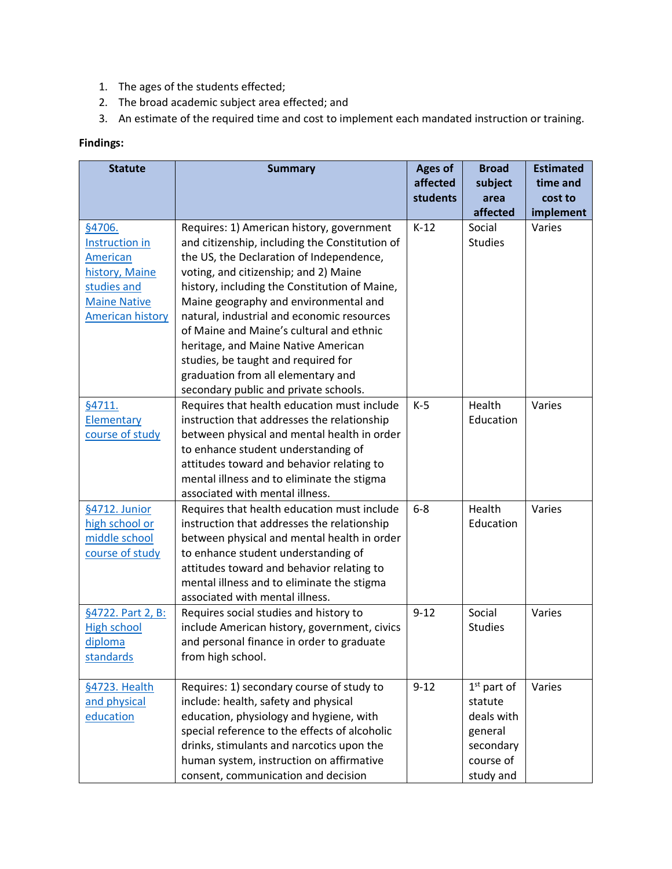- 1. The ages of the students effected;
- 2. The broad academic subject area effected; and
- 3. An estimate of the required time and cost to implement each mandated instruction or training.

# **Findings:**

| <b>Statute</b>                                                                                                          | <b>Summary</b>                                                                                                                                                                                                                                                                                                                                                                                                                                     | <b>Ages of</b><br>affected | <b>Broad</b><br>subject                                                                  | <b>Estimated</b><br>time and |
|-------------------------------------------------------------------------------------------------------------------------|----------------------------------------------------------------------------------------------------------------------------------------------------------------------------------------------------------------------------------------------------------------------------------------------------------------------------------------------------------------------------------------------------------------------------------------------------|----------------------------|------------------------------------------------------------------------------------------|------------------------------|
|                                                                                                                         |                                                                                                                                                                                                                                                                                                                                                                                                                                                    | students                   | area<br>affected                                                                         | cost to<br>implement         |
| §4706.<br>Instruction in<br>American<br>history, Maine<br>studies and<br><b>Maine Native</b><br><b>American history</b> | Requires: 1) American history, government<br>and citizenship, including the Constitution of<br>the US, the Declaration of Independence,<br>voting, and citizenship; and 2) Maine<br>history, including the Constitution of Maine,<br>Maine geography and environmental and<br>natural, industrial and economic resources<br>of Maine and Maine's cultural and ethnic<br>heritage, and Maine Native American<br>studies, be taught and required for | $K-12$                     | Social<br><b>Studies</b>                                                                 | Varies                       |
| §4711.<br>Elementary<br>course of study                                                                                 | graduation from all elementary and<br>secondary public and private schools.<br>Requires that health education must include<br>instruction that addresses the relationship<br>between physical and mental health in order<br>to enhance student understanding of<br>attitudes toward and behavior relating to<br>mental illness and to eliminate the stigma<br>associated with mental illness.                                                      | $K-5$                      | Health<br>Education                                                                      | Varies                       |
| §4712. Junior<br>high school or<br>middle school<br>course of study                                                     | Requires that health education must include<br>instruction that addresses the relationship<br>between physical and mental health in order<br>to enhance student understanding of<br>attitudes toward and behavior relating to<br>mental illness and to eliminate the stigma<br>associated with mental illness.                                                                                                                                     | $6-8$                      | Health<br>Education                                                                      | Varies                       |
| §4722. Part 2, B:<br><b>High school</b><br>diploma<br>standards                                                         | Requires social studies and history to<br>include American history, government, civics<br>and personal finance in order to graduate<br>from high school.                                                                                                                                                                                                                                                                                           | $9 - 12$                   | Social<br><b>Studies</b>                                                                 | Varies                       |
| §4723. Health<br>and physical<br>education                                                                              | Requires: 1) secondary course of study to<br>include: health, safety and physical<br>education, physiology and hygiene, with<br>special reference to the effects of alcoholic<br>drinks, stimulants and narcotics upon the<br>human system, instruction on affirmative<br>consent, communication and decision                                                                                                                                      | $9 - 12$                   | $1st$ part of<br>statute<br>deals with<br>general<br>secondary<br>course of<br>study and | Varies                       |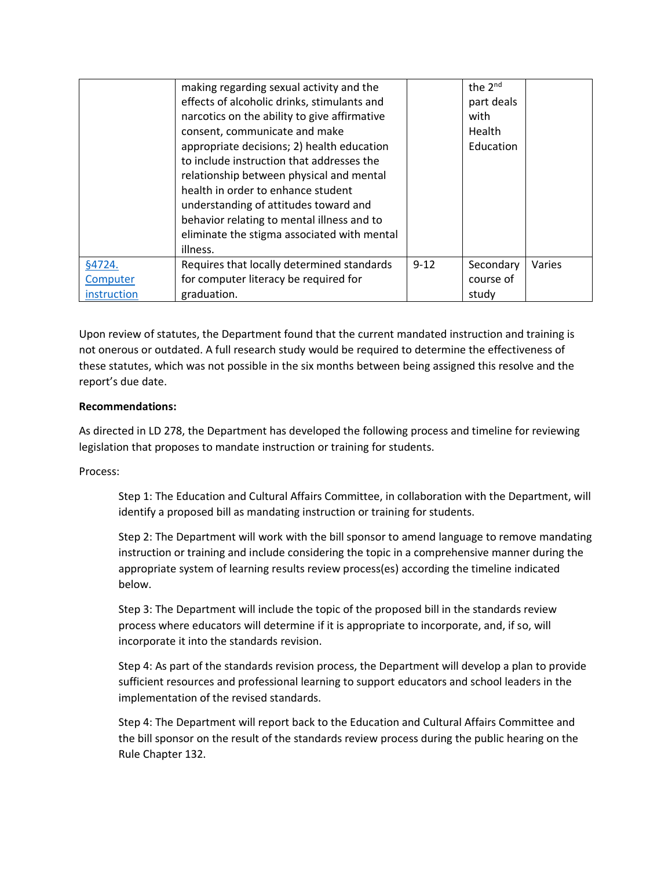|             | making regarding sexual activity and the     |          | the 2nd    |        |
|-------------|----------------------------------------------|----------|------------|--------|
|             | effects of alcoholic drinks, stimulants and  |          | part deals |        |
|             | narcotics on the ability to give affirmative |          | with       |        |
|             | consent, communicate and make                |          | Health     |        |
|             | appropriate decisions; 2) health education   |          | Education  |        |
|             | to include instruction that addresses the    |          |            |        |
|             | relationship between physical and mental     |          |            |        |
|             | health in order to enhance student           |          |            |        |
|             | understanding of attitudes toward and        |          |            |        |
|             | behavior relating to mental illness and to   |          |            |        |
|             | eliminate the stigma associated with mental  |          |            |        |
|             | illness.                                     |          |            |        |
| §4724.      | Requires that locally determined standards   | $9 - 12$ | Secondary  | Varies |
| Computer    | for computer literacy be required for        |          | course of  |        |
| instruction | graduation.                                  |          | study      |        |

Upon review of statutes, the Department found that the current mandated instruction and training is not onerous or outdated. A full research study would be required to determine the effectiveness of these statutes, which was not possible in the six months between being assigned this resolve and the report's due date.

#### **Recommendations:**

As directed in LD 278, the Department has developed the following process and timeline for reviewing legislation that proposes to mandate instruction or training for students.

Process:

Step 1: The Education and Cultural Affairs Committee, in collaboration with the Department, will identify a proposed bill as mandating instruction or training for students.

Step 2: The Department will work with the bill sponsor to amend language to remove mandating instruction or training and include considering the topic in a comprehensive manner during the appropriate system of learning results review process(es) according the timeline indicated below.

Step 3: The Department will include the topic of the proposed bill in the standards review process where educators will determine if it is appropriate to incorporate, and, if so, will incorporate it into the standards revision.

Step 4: As part of the standards revision process, the Department will develop a plan to provide sufficient resources and professional learning to support educators and school leaders in the implementation of the revised standards.

Step 4: The Department will report back to the Education and Cultural Affairs Committee and the bill sponsor on the result of the standards review process during the public hearing on the Rule Chapter 132.